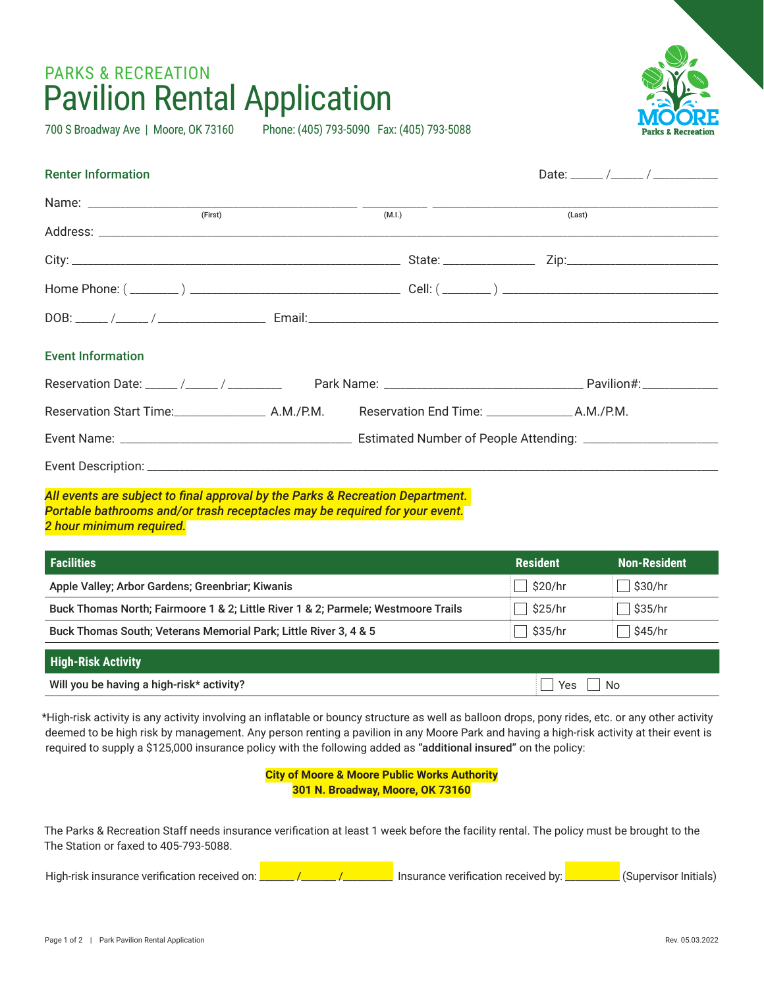## PARKS & RECREATION Pavilion Rental Application

700 S Broadway Ave | Moore, OK 73160 Phone: (405) 793-5090 Fax: (405) 793-5088



| <b>Renter Information</b>                                        |  |        |        |
|------------------------------------------------------------------|--|--------|--------|
| (First)                                                          |  | (M.I.) |        |
|                                                                  |  |        | (Last) |
|                                                                  |  |        |        |
|                                                                  |  |        |        |
|                                                                  |  |        |        |
| <b>Event Information</b>                                         |  |        |        |
|                                                                  |  |        |        |
|                                                                  |  |        |        |
|                                                                  |  |        |        |
|                                                                  |  |        |        |
| 이 그는 그 사람들은 그 사람들을 만들어 보고 있다. 그는 그 사람들은 그 사람들은 그 사람들을 만들어 보고 있다. |  |        |        |

*All events are subject to final approval by the Parks & Recreation Department. Portable bathrooms and/or trash receptacles may be required for your event. 2 hour minimum required.*

| <b>Facilities</b>                                                                 | <b>Resident</b>       | <b>Non-Resident</b>   |
|-----------------------------------------------------------------------------------|-----------------------|-----------------------|
| Apple Valley; Arbor Gardens; Greenbriar; Kiwanis                                  | $\frac{1}{2}$ \$20/hr | $\frac{1}{2}$ \$30/hr |
| Buck Thomas North; Fairmoore 1 & 2; Little River 1 & 2; Parmele; Westmoore Trails | $\exists$ \$25/hr     | S35/hr                |
| Buck Thomas South; Veterans Memorial Park; Little River 3, 4 & 5                  | \$35/hr               | \$45/hr               |
| <b>High-Risk Activity</b>                                                         |                       |                       |
| Will you be having a high-risk* activity?                                         | Yes                   | N۵                    |

\*High-risk activity is any activity involving an inflatable or bouncy structure as well as balloon drops, pony rides, etc. or any other activity deemed to be high risk by management. Any person renting a pavilion in any Moore Park and having a high-risk activity at their event is required to supply a \$125,000 insurance policy with the following added as "additional insured" on the policy:

|  | <b>City of Moore &amp; Moore Public Works Authority</b> |  |
|--|---------------------------------------------------------|--|
|  | 301 N. Broadway, Moore, OK 73160                        |  |

The Parks & Recreation Staff needs insurance verification at least 1 week before the facility rental. The policy must be brought to the The Station or faxed to 405-793-5088.